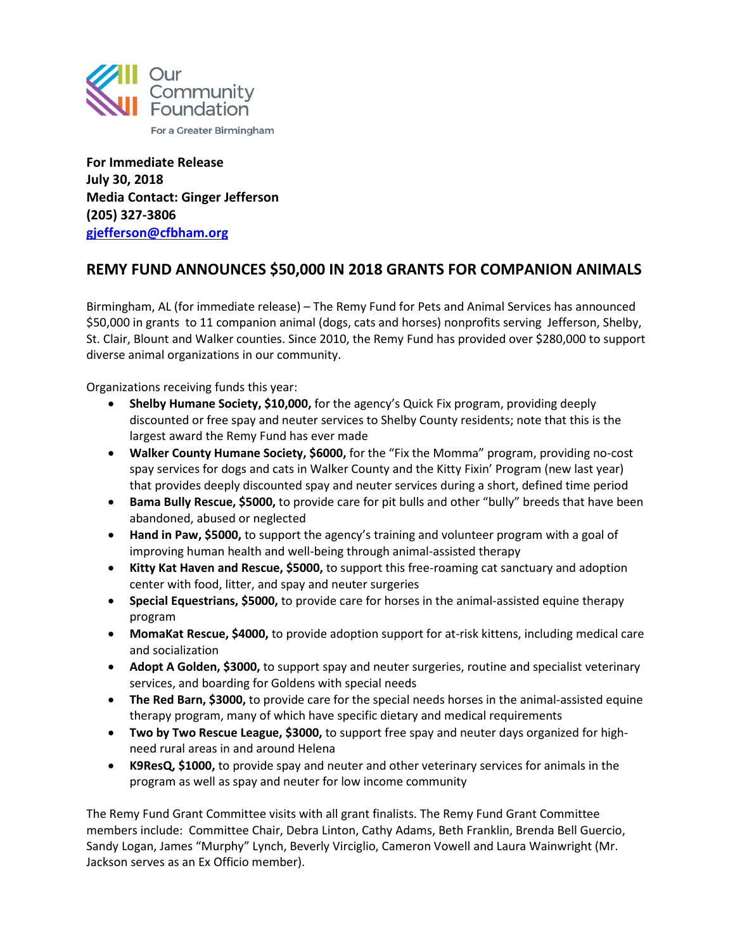

**For Immediate Release July 30, 2018 Media Contact: Ginger Jefferson (205) 327-3806 [gjefferson@cfbham.org](mailto:gjefferson@cfbham.org)**

## **REMY FUND ANNOUNCES \$50,000 IN 2018 GRANTS FOR COMPANION ANIMALS**

Birmingham, AL (for immediate release) – The Remy Fund for Pets and Animal Services has announced \$50,000 in grants to 11 companion animal (dogs, cats and horses) nonprofits serving Jefferson, Shelby, St. Clair, Blount and Walker counties. Since 2010, the Remy Fund has provided over \$280,000 to support diverse animal organizations in our community.

Organizations receiving funds this year:

- **Shelby Humane Society, \$10,000,** for the agency's Quick Fix program, providing deeply discounted or free spay and neuter services to Shelby County residents; note that this is the largest award the Remy Fund has ever made
- **Walker County Humane Society, \$6000,** for the "Fix the Momma" program, providing no-cost spay services for dogs and cats in Walker County and the Kitty Fixin' Program (new last year) that provides deeply discounted spay and neuter services during a short, defined time period
- **Bama Bully Rescue, \$5000,** to provide care for pit bulls and other "bully" breeds that have been abandoned, abused or neglected
- **Hand in Paw, \$5000,** to support the agency's training and volunteer program with a goal of improving human health and well-being through animal-assisted therapy
- **Kitty Kat Haven and Rescue, \$5000,** to support this free-roaming cat sanctuary and adoption center with food, litter, and spay and neuter surgeries
- **Special Equestrians, \$5000,** to provide care for horses in the animal-assisted equine therapy program
- **MomaKat Rescue, \$4000,** to provide adoption support for at-risk kittens, including medical care and socialization
- **Adopt A Golden, \$3000,** to support spay and neuter surgeries, routine and specialist veterinary services, and boarding for Goldens with special needs
- **The Red Barn, \$3000,** to provide care for the special needs horses in the animal-assisted equine therapy program, many of which have specific dietary and medical requirements
- **Two by Two Rescue League, \$3000,** to support free spay and neuter days organized for highneed rural areas in and around Helena
- **K9ResQ, \$1000,** to provide spay and neuter and other veterinary services for animals in the program as well as spay and neuter for low income community

The Remy Fund Grant Committee visits with all grant finalists. The Remy Fund Grant Committee members include: Committee Chair, Debra Linton, Cathy Adams, Beth Franklin, Brenda Bell Guercio, Sandy Logan, James "Murphy" Lynch, Beverly Virciglio, Cameron Vowell and Laura Wainwright (Mr. Jackson serves as an Ex Officio member).